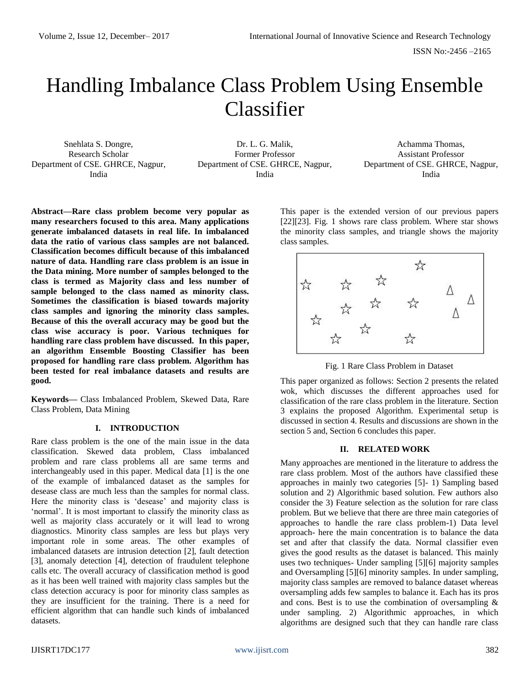# Handling Imbalance Class Problem Using Ensemble Classifier

Snehlata S. Dongre, Research Scholar Department of CSE. GHRCE, Nagpur, India

Dr. L. G. Malik, Former Professor Department of CSE. GHRCE, Nagpur, India

Achamma Thomas, Assistant Professor Department of CSE. GHRCE, Nagpur, India

**Abstract—Rare class problem become very popular as many researchers focused to this area. Many applications generate imbalanced datasets in real life. In imbalanced data the ratio of various class samples are not balanced. Classification becomes difficult because of this imbalanced nature of data. Handling rare class problem is an issue in the Data mining. More number of samples belonged to the class is termed as Majority class and less number of sample belonged to the class named as minority class. Sometimes the classification is biased towards majority class samples and ignoring the minority class samples. Because of this the overall accuracy may be good but the class wise accuracy is poor. Various techniques for handling rare class problem have discussed. In this paper, an algorithm Ensemble Boosting Classifier has been proposed for handling rare class problem. Algorithm has been tested for real imbalance datasets and results are good.** 

**Keywords—** Class Imbalanced Problem, Skewed Data, Rare Class Problem, Data Mining

# **I. INTRODUCTION**

Rare class problem is the one of the main issue in the data classification. Skewed data problem, Class imbalanced problem and rare class problems all are same terms and interchangeably used in this paper. Medical data [1] is the one of the example of imbalanced dataset as the samples for desease class are much less than the samples for normal class. Here the minority class is 'desease' and majority class is 'normal'. It is most important to classify the minority class as well as majority class accurately or it will lead to wrong diagnostics. Minority class samples are less but plays very important role in some areas. The other examples of imbalanced datasets are intrusion detection [2], fault detection [3], anomaly detection [4], detection of fraudulent telephone calls etc. The overall accuracy of classification method is good as it has been well trained with majority class samples but the class detection accuracy is poor for minority class samples as they are insufficient for the training. There is a need for efficient algorithm that can handle such kinds of imbalanced datasets.

This paper is the extended version of our previous papers [22][23]. Fig. 1 shows rare class problem. Where star shows the minority class samples, and triangle shows the majority class samples.



Fig. 1 Rare Class Problem in Dataset

This paper organized as follows: Section 2 presents the related wok, which discusses the different approaches used for classification of the rare class problem in the literature. Section 3 explains the proposed Algorithm. Experimental setup is discussed in section 4. Results and discussions are shown in the section 5 and, Section 6 concludes this paper.

# **II. RELATED WORK**

Many approaches are mentioned in the literature to address the rare class problem. Most of the authors have classified these approaches in mainly two categories [5]- 1) Sampling based solution and 2) Algorithmic based solution. Few authors also consider the 3) Feature selection as the solution for rare class problem. But we believe that there are three main categories of approaches to handle the rare class problem-1) Data level approach- here the main concentration is to balance the data set and after that classify the data. Normal classifier even gives the good results as the dataset is balanced. This mainly uses two techniques- Under sampling [5][6] majority samples and Oversampling [5][6] minority samples. In under sampling, majority class samples are removed to balance dataset whereas oversampling adds few samples to balance it. Each has its pros and cons. Best is to use the combination of oversampling & under sampling. 2) Algorithmic approaches, in which algorithms are designed such that they can handle rare class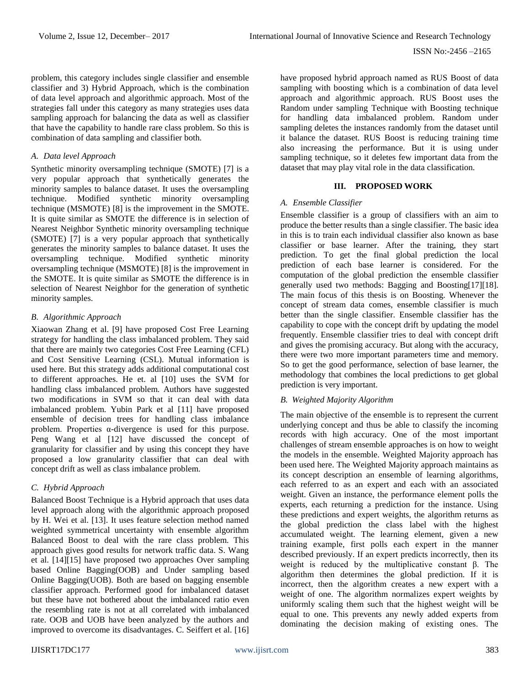problem, this category includes single classifier and ensemble classifier and 3) Hybrid Approach, which is the combination of data level approach and algorithmic approach. Most of the strategies fall under this category as many strategies uses data sampling approach for balancing the data as well as classifier that have the capability to handle rare class problem. So this is combination of data sampling and classifier both.

#### *A. Data level Approach*

Synthetic minority oversampling technique (SMOTE) [7] is a very popular approach that synthetically generates the minority samples to balance dataset. It uses the oversampling technique. Modified synthetic minority oversampling technique (MSMOTE) [8] is the improvement in the SMOTE. It is quite similar as SMOTE the difference is in selection of Nearest Neighbor Synthetic minority oversampling technique (SMOTE) [7] is a very popular approach that synthetically generates the minority samples to balance dataset. It uses the oversampling technique. Modified synthetic minority oversampling technique (MSMOTE) [8] is the improvement in the SMOTE. It is quite similar as SMOTE the difference is in selection of Nearest Neighbor for the generation of synthetic minority samples.

#### *B. Algorithmic Approach*

Xiaowan Zhang et al. [9] have proposed Cost Free Learning strategy for handling the class imbalanced problem. They said that there are mainly two categories Cost Free Learning (CFL) and Cost Sensitive Learning (CSL). Mutual information is used here. But this strategy adds additional computational cost to different approaches. He et. al [10] uses the SVM for handling class imbalanced problem. Authors have suggested two modifications in SVM so that it can deal with data imbalanced problem. Yubin Park et al [11] have proposed ensemble of decision trees for handling class imbalance problem. Properties α-divergence is used for this purpose. Peng Wang et al [12] have discussed the concept of granularity for classifier and by using this concept they have proposed a low granularity classifier that can deal with concept drift as well as class imbalance problem.

# *C. Hybrid Approach*

Balanced Boost Technique is a Hybrid approach that uses data level approach along with the algorithmic approach proposed by H. Wei et al. [13]. It uses feature selection method named weighted symmetrical uncertainty with ensemble algorithm Balanced Boost to deal with the rare class problem. This approach gives good results for network traffic data. S. Wang et al. [14][15] have proposed two approaches Over sampling based Online Bagging(OOB) and Under sampling based Online Bagging(UOB). Both are based on bagging ensemble classifier approach. Performed good for imbalanced dataset but these have not bothered about the imbalanced ratio even the resembling rate is not at all correlated with imbalanced rate. OOB and UOB have been analyzed by the authors and improved to overcome its disadvantages. C. Seiffert et al. [16]

have proposed hybrid approach named as RUS Boost of data sampling with boosting which is a combination of data level approach and algorithmic approach. RUS Boost uses the Random under sampling Technique with Boosting technique for handling data imbalanced problem. Random under sampling deletes the instances randomly from the dataset until it balance the dataset. RUS Boost is reducing training time also increasing the performance. But it is using under sampling technique, so it deletes few important data from the dataset that may play vital role in the data classification.

#### **III. PROPOSED WORK**

#### *A. Ensemble Classifier*

Ensemble classifier is a group of classifiers with an aim to produce the better results than a single classifier. The basic idea in this is to train each individual classifier also known as base classifier or base learner. After the training, they start prediction. To get the final global prediction the local prediction of each base learner is considered. For the computation of the global prediction the ensemble classifier generally used two methods: Bagging and Boosting[17][18]. The main focus of this thesis is on Boosting. Whenever the concept of stream data comes, ensemble classifier is much better than the single classifier. Ensemble classifier has the capability to cope with the concept drift by updating the model frequently. Ensemble classifier tries to deal with concept drift and gives the promising accuracy. But along with the accuracy, there were two more important parameters time and memory. So to get the good performance, selection of base learner, the methodology that combines the local predictions to get global prediction is very important.

# *B. Weighted Majority Algorithm*

The main objective of the ensemble is to represent the current underlying concept and thus be able to classify the incoming records with high accuracy. One of the most important challenges of stream ensemble approaches is on how to weight the models in the ensemble. Weighted Majority approach has been used here. The Weighted Majority approach maintains as its concept description an ensemble of learning algorithms, each referred to as an expert and each with an associated weight. Given an instance, the performance element polls the experts, each returning a prediction for the instance. Using these predictions and expert weights, the algorithm returns as the global prediction the class label with the highest accumulated weight. The learning element, given a new training example, first polls each expert in the manner described previously. If an expert predicts incorrectly, then its weight is reduced by the multiplicative constant β. The algorithm then determines the global prediction. If it is incorrect, then the algorithm creates a new expert with a weight of one. The algorithm normalizes expert weights by uniformly scaling them such that the highest weight will be equal to one. This prevents any newly added experts from dominating the decision making of existing ones. The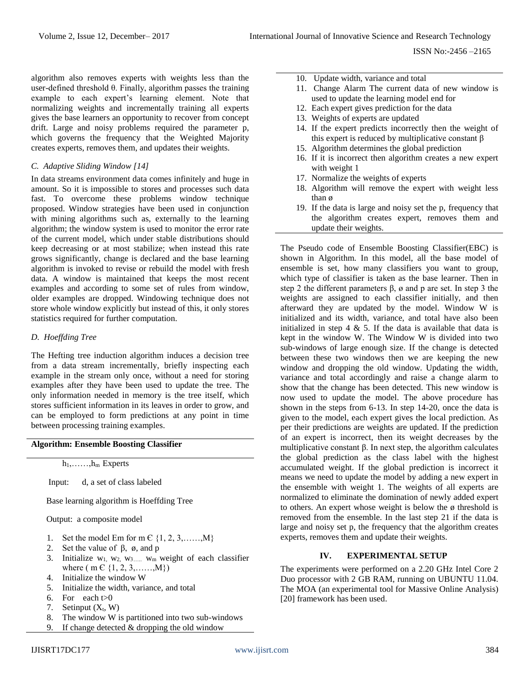algorithm also removes experts with weights less than the user-defined threshold θ. Finally, algorithm passes the training example to each expert's learning element. Note that normalizing weights and incrementally training all experts gives the base learners an opportunity to recover from concept drift. Large and noisy problems required the parameter p, which governs the frequency that the Weighted Majority creates experts, removes them, and updates their weights.

# *C. Adaptive Sliding Window [14]*

In data streams environment data comes infinitely and huge in amount. So it is impossible to stores and processes such data fast. To overcome these problems window technique proposed. Window strategies have been used in conjunction with mining algorithms such as, externally to the learning algorithm; the window system is used to monitor the error rate of the current model, which under stable distributions should keep decreasing or at most stabilize; when instead this rate grows significantly, change is declared and the base learning algorithm is invoked to revise or rebuild the model with fresh data. A window is maintained that keeps the most recent examples and according to some set of rules from window, older examples are dropped. Windowing technique does not store whole window explicitly but instead of this, it only stores statistics required for further computation.

# *D. Hoeffding Tree*

The Hefting tree induction algorithm induces a decision tree from a data stream incrementally, briefly inspecting each example in the stream only once, without a need for storing examples after they have been used to update the tree. The only information needed in memory is the tree itself, which stores sufficient information in its leaves in order to grow, and can be employed to form predictions at any point in time between processing training examples.

#### **Algorithm: Ensemble Boosting Classifier**

 $h_1, \ldots, h_m$  Experts

Input: d, a set of class labeled

Base learning algorithm is Hoeffding Tree

Output: a composite model

- 1. Set the model Em for m  $\in \{1, 2, 3, \ldots, M\}$
- 2. Set the value of  $β$ ,  $φ$ , and  $p$
- 3. Initialize  $w_1$ ,  $w_2$ ,  $w_3$ ,  $w_m$  weight of each classifier where ( m  $\in \{1, 2, 3, \ldots, M\}$ )
- 4. Initialize the window W
- 5. Initialize the width, variance, and total
- 6. For each  $t>0$
- 7. Setinput  $(X_t, W)$
- 8. The window W is partitioned into two sub-windows
- If change detected  $&$  dropping the old window
- 10. Update width, variance and total
- 11. Change Alarm The current data of new window is used to update the learning model end for
- 12. Each expert gives prediction for the data
- 13. Weights of experts are updated
- 14. If the expert predicts incorrectly then the weight of this expert is reduced by multiplicative constant  $β$
- 15. Algorithm determines the global prediction
- 16. If it is incorrect then algorithm creates a new expert with weight 1
- 17. Normalize the weights of experts
- 18. Algorithm will remove the expert with weight less than ø
- 19. If the data is large and noisy set the p, frequency that the algorithm creates expert, removes them and update their weights.

The Pseudo code of Ensemble Boosting Classifier(EBC) is shown in Algorithm. In this model, all the base model of ensemble is set, how many classifiers you want to group, which type of classifier is taken as the base learner. Then in step 2 the different parameters  $\beta$ ,  $\alpha$  and p are set. In step 3 the weights are assigned to each classifier initially, and then afterward they are updated by the model. Window W is initialized and its width, variance, and total have also been initialized in step  $4 \& 5$ . If the data is available that data is kept in the window W. The Window W is divided into two sub-windows of large enough size. If the change is detected between these two windows then we are keeping the new window and dropping the old window. Updating the width, variance and total accordingly and raise a change alarm to show that the change has been detected. This new window is now used to update the model. The above procedure has shown in the steps from 6-13. In step 14-20, once the data is given to the model, each expert gives the local prediction. As per their predictions are weights are updated. If the prediction of an expert is incorrect, then its weight decreases by the multiplicative constant  $\beta$ . In next step, the algorithm calculates the global prediction as the class label with the highest accumulated weight. If the global prediction is incorrect it means we need to update the model by adding a new expert in the ensemble with weight 1. The weights of all experts are normalized to eliminate the domination of newly added expert to others. An expert whose weight is below the ø threshold is removed from the ensemble. In the last step 21 if the data is large and noisy set p, the frequency that the algorithm creates experts, removes them and update their weights.

# **IV. EXPERIMENTAL SETUP**

The experiments were performed on a 2.20 GHz Intel Core 2 Duo processor with 2 GB RAM, running on UBUNTU 11.04. The MOA (an experimental tool for Massive Online Analysis) [20] framework has been used.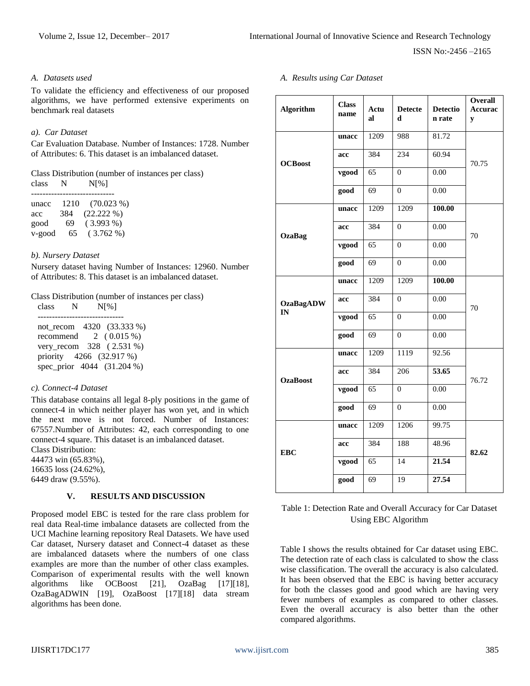ISSN No:-2456 –2165

#### *A. Datasets used*

To validate the efficiency and effectiveness of our proposed algorithms, we have performed extensive experiments on benchmark real datasets

#### *a). Car Dataset*

Car Evaluation Database. Number of Instances: 1728. Number of Attributes: 6. This dataset is an imbalanced dataset.

Class Distribution (number of instances per class)<br>class  $N$   $N[\%]$ class N

| unacc  | 1210 | $(70.023\%)$ |
|--------|------|--------------|
| acc    | 384  | $(22.222\%)$ |
| good   | 69   | $(3.993\%)$  |
| v-good | 65   | $(3.762\%)$  |

# *b). Nursery Dataset*

Nursery dataset having Number of Instances: 12960. Number of Attributes: 8. This dataset is an imbalanced dataset.

Class Distribution (number of instances per class)

| class | N | N[%] |                            |
|-------|---|------|----------------------------|
|       |   |      |                            |
|       |   |      | not_recom 4320 (33.333 %)  |
|       |   |      | recommend $2(0.015\%)$     |
|       |   |      | very_recom 328 (2.531 %)   |
|       |   |      | priority 4266 (32.917 %)   |
|       |   |      | spec_prior 4044 (31.204 %) |

# *c). Connect-4 Dataset*

This database contains all legal 8-ply positions in the game of connect-4 in which neither player has won yet, and in which the next move is not forced. Number of Instances: 67557.Number of Attributes: 42, each corresponding to one connect-4 square. This dataset is an imbalanced dataset. Class Distribution:

44473 win (65.83%), 16635 loss (24.62%),

6449 draw (9.55%).

# **V. RESULTS AND DISCUSSION**

Proposed model EBC is tested for the rare class problem for real data Real-time imbalance datasets are collected from the UCI Machine learning repository Real Datasets. We have used Car dataset, Nursery dataset and Connect-4 dataset as these are imbalanced datasets where the numbers of one class examples are more than the number of other class examples. Comparison of experimental results with the well known algorithms like OCBoost [21], OzaBag [17][18], OzaBagADWIN [19], OzaBoost [17][18] data stream algorithms has been done.

*A. Results using Car Dataset*

| <b>Algorithm</b> | <b>Class</b><br>name | Actu<br>al      | <b>Detecte</b><br>d | <b>Detectio</b><br>n rate | <b>Overall</b><br><b>Accurac</b><br>y |
|------------------|----------------------|-----------------|---------------------|---------------------------|---------------------------------------|
|                  | unacc                | 1209            | 988                 | 81.72                     |                                       |
| <b>OCBoost</b>   | acc                  | 384             | 234                 | 60.94                     | 70.75                                 |
|                  | vgood                | $\overline{65}$ | $\overline{0}$      | 0.00                      |                                       |
|                  | good                 | 69              | $\Omega$            | 0.00                      |                                       |
|                  | unacc                | 1209            | 1209                | 100.00                    |                                       |
| <b>OzaBag</b>    | acc                  | 384             | $\overline{0}$      | 0.00                      | 70                                    |
|                  | vgood                | 65              | $\boldsymbol{0}$    | 0.00                      |                                       |
|                  | good                 | 69              | $\theta$            | 0.00                      |                                       |
|                  | unacc                | 1209            | 1209                | 100.00                    | 70                                    |
| <b>OzaBagADW</b> | acc                  | 384             | $\boldsymbol{0}$    | 0.00                      |                                       |
| IN               | vgood                | 65              | $\boldsymbol{0}$    | 0.00                      |                                       |
|                  | good                 | 69              | $\boldsymbol{0}$    | $0.00\,$                  |                                       |
|                  | unacc                | 1209            | 1119                | 92.56                     | 76.72                                 |
| <b>OzaBoost</b>  | acc                  | 384             | 206                 | 53.65                     |                                       |
|                  | vgood                | 65              | $\boldsymbol{0}$    | 0.00                      |                                       |
|                  | good                 | 69              | $\overline{0}$      | 0.00                      |                                       |
| <b>EBC</b>       | unacc                | 1209            | 1206                | 99.75                     | 82.62                                 |
|                  | acc                  | 384             | 188                 | 48.96                     |                                       |
|                  | vgood                | 65              | 14                  | 21.54                     |                                       |
|                  | good                 | 69              | 19                  | 27.54                     |                                       |

# Table 1: Detection Rate and Overall Accuracy for Car Dataset Using EBC Algorithm

Table I shows the results obtained for Car dataset using EBC. The detection rate of each class is calculated to show the class wise classification. The overall the accuracy is also calculated. It has been observed that the EBC is having better accuracy for both the classes good and good which are having very fewer numbers of examples as compared to other classes. Even the overall accuracy is also better than the other compared algorithms.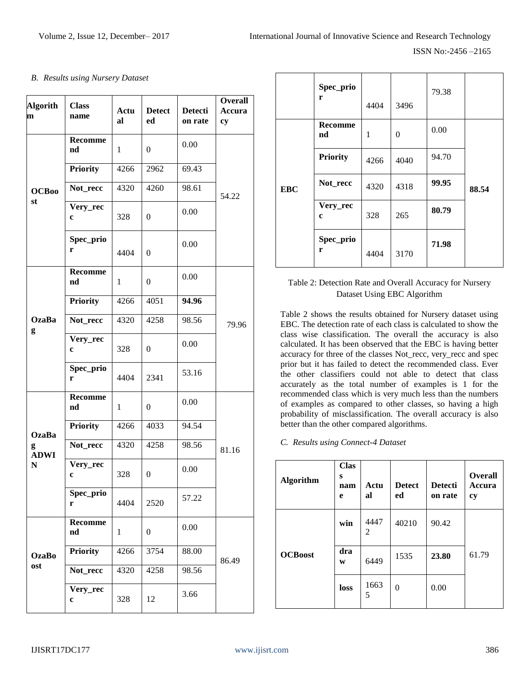# *B. Results using Nursery Dataset*

| <b>Algorith</b><br>m | <b>Class</b><br>name | Actu<br>al | <b>Detect</b><br>ed | <b>Detecti</b><br>on rate | <b>Overall</b><br>Accura<br>cy |
|----------------------|----------------------|------------|---------------------|---------------------------|--------------------------------|
|                      | <b>Recomme</b><br>nd | 1          | $\boldsymbol{0}$    | 0.00                      |                                |
|                      | Priority             | 4266       | 2962                | 69.43                     |                                |
| <b>OCB00</b>         | Not_recc             | 4320       | 4260                | 98.61                     | 54.22                          |
| st                   | Very_rec<br>c        | 328        | $\overline{0}$      | 0.00                      |                                |
|                      | Spec_prio<br>r       | 4404       | $\boldsymbol{0}$    | 0.00                      |                                |
|                      | <b>Recomme</b><br>nd | 1          | $\boldsymbol{0}$    | 0.00                      |                                |
|                      | <b>Priority</b>      | 4266       | 4051                | 94.96                     |                                |
| <b>OzaBa</b><br>g    | Not_recc             | 4320       | 4258                | 98.56                     | 79.96                          |
|                      | Very_rec<br>c        | 328        | $\overline{0}$      | 0.00                      |                                |
|                      | Spec_prio<br>r       | 4404       | 2341                | 53.16                     |                                |
|                      | <b>Recomme</b><br>nd | 1          | $\overline{0}$      | 0.00                      |                                |
| <b>OzaBa</b>         | <b>Priority</b>      | 4266       | 4033                | 94.54                     |                                |
| g<br><b>ADWI</b>     | Not_recc             | 4320       | 4258                | 98.56                     | 81.16                          |
| $\mathbf N$          | <b>Very_rec</b><br>c | 328        | $\boldsymbol{0}$    | 0.00                      |                                |
|                      | Spec_prio<br>r       | 4404       | 2520                | 57.22                     |                                |
| <b>OzaBo</b><br>ost  | <b>Recomme</b><br>nd | 1          | $\boldsymbol{0}$    | 0.00                      |                                |
|                      | <b>Priority</b>      | 4266       | 3754                | 88.00                     | 86.49                          |
|                      | Not_recc             | 4320       | 4258                | 98.56                     |                                |
|                      | Very_rec<br>c        | 328        | 12                  | 3.66                      |                                |

|            | Spec_prio<br>r          | 4404 | 3496           | 79.38 |       |
|------------|-------------------------|------|----------------|-------|-------|
|            | <b>Recomme</b><br>nd    | 1    | $\overline{0}$ | 0.00  |       |
|            | <b>Priority</b>         | 4266 | 4040           | 94.70 |       |
| <b>EBC</b> | Not_recc                | 4320 | 4318           | 99.95 | 88.54 |
|            | Very_rec<br>$\mathbf c$ | 328  | 265            | 80.79 |       |
|            | Spec_prio<br>r          | 4404 | 3170           | 71.98 |       |

# Table 2: Detection Rate and Overall Accuracy for Nursery Dataset Using EBC Algorithm

Table 2 shows the results obtained for Nursery dataset using EBC. The detection rate of each class is calculated to show the class wise classification. The overall the accuracy is also calculated. It has been observed that the EBC is having better accuracy for three of the classes Not\_recc, very\_recc and spec prior but it has failed to detect the recommended class. Ever the other classifiers could not able to detect that class accurately as the total number of examples is 1 for the recommended class which is very much less than the numbers of examples as compared to other classes, so having a high probability of misclassification. The overall accuracy is also better than the other compared algorithms.

# *C. Results using Connect-4 Dataset*

| <b>Algorithm</b> | <b>Clas</b><br>S<br>nam<br>e | Actu<br>al | <b>Detect</b><br>ed | <b>Detecti</b><br>on rate | <b>Overall</b><br>Accura<br>cy |
|------------------|------------------------------|------------|---------------------|---------------------------|--------------------------------|
|                  | win                          | 4447<br>2  | 40210               | 90.42                     |                                |
| <b>OCBoost</b>   | dra<br>W                     | 6449       | 1535                | 23.80                     | 61.79                          |
|                  | loss                         | 1663<br>5  | $\theta$            | 0.00                      |                                |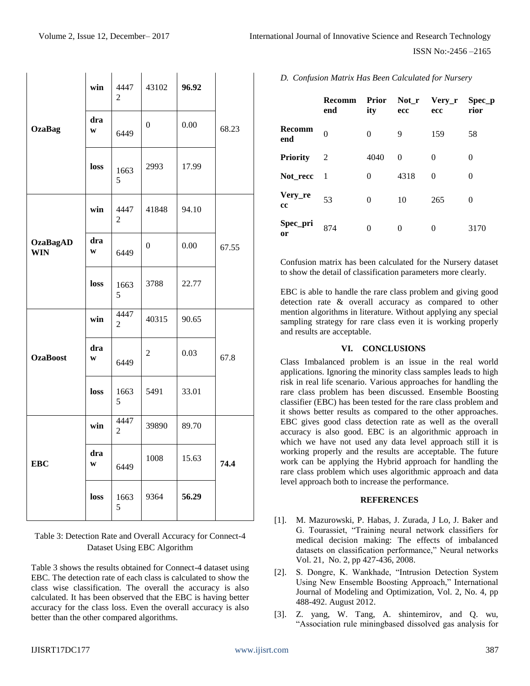|                               | win      | 4447<br>2              | 43102            | 96.92 |       |
|-------------------------------|----------|------------------------|------------------|-------|-------|
| <b>OzaBag</b>                 | dra<br>W | 6449                   | $\overline{0}$   | 0.00  | 68.23 |
|                               | loss     | 1663<br>5              | 2993             | 17.99 |       |
|                               | win      | 4447<br>2              | 41848            | 94.10 |       |
| <b>OzaBagAD</b><br><b>WIN</b> | dra<br>W | 6449                   | $\boldsymbol{0}$ | 0.00  | 67.55 |
|                               | loss     | 1663<br>5              | 3788             | 22.77 |       |
|                               | win      | 4447<br>$\overline{c}$ | 40315            | 90.65 |       |
| <b>OzaBoost</b>               | dra<br>W | 6449                   | $\overline{c}$   | 0.03  | 67.8  |
|                               | loss     | 1663<br>5              | 5491             | 33.01 |       |
|                               | win      | 4447<br>$\overline{c}$ | 39890            | 89.70 |       |
| <b>EBC</b>                    | dra<br>W | 6449                   | 1008             | 15.63 | 74.4  |
|                               | loss     | 1663<br>5              | 9364             | 56.29 |       |

Table 3: Detection Rate and Overall Accuracy for Connect-4 Dataset Using EBC Algorithm

Table 3 shows the results obtained for Connect-4 dataset using EBC. The detection rate of each class is calculated to show the class wise classification. The overall the accuracy is also calculated. It has been observed that the EBC is having better accuracy for the class loss. Even the overall accuracy is also better than the other compared algorithms.

#### *D. Confusion Matrix Has Been Calculated for Nursery*

|                 | <b>Recomm</b><br>end | <b>Prior</b><br>ity | Not_r<br>ecc | $Very_r$<br>ecc | Spec p<br>rior |
|-----------------|----------------------|---------------------|--------------|-----------------|----------------|
| Recomm<br>end   | 0                    | $\theta$            | 9            | 159             | 58             |
| <b>Priority</b> | 2                    | 4040                | 0            | 0               | $^{(1)}$       |
| Not_recc        | - 1                  | $\theta$            | 4318         | $\Omega$        | 0              |
| Very_re<br>cc   | 53                   | $\theta$            | 10           | 265             | 0              |
| Spec_pri<br>or  | 874                  | 0                   | 0            | 0               | 3170           |

Confusion matrix has been calculated for the Nursery dataset to show the detail of classification parameters more clearly.

EBC is able to handle the rare class problem and giving good detection rate & overall accuracy as compared to other mention algorithms in literature. Without applying any special sampling strategy for rare class even it is working properly and results are acceptable.

# **VI. CONCLUSIONS**

Class Imbalanced problem is an issue in the real world applications. Ignoring the minority class samples leads to high risk in real life scenario. Various approaches for handling the rare class problem has been discussed. Ensemble Boosting classifier (EBC) has been tested for the rare class problem and it shows better results as compared to the other approaches. EBC gives good class detection rate as well as the overall accuracy is also good. EBC is an algorithmic approach in which we have not used any data level approach still it is working properly and the results are acceptable. The future work can be applying the Hybrid approach for handling the rare class problem which uses algorithmic approach and data level approach both to increase the performance.

#### **REFERENCES**

- [1]. M. Mazurowski, P. Habas, J. Zurada, J Lo, J. Baker and G. Tourassiet, "Training neural network classifiers for medical decision making: The effects of imbalanced datasets on classification performance," Neural networks Vol. 21, No. 2, pp 427-436, 2008.
- [2]. S. Dongre, K. Wankhade, "Intrusion Detection System Using New Ensemble Boosting Approach," International Journal of Modeling and Optimization, Vol. 2, No. 4, pp 488-492. August 2012.
- [3]. Z. yang, W. Tang, A. shintemirov, and Q. wu, "Association rule miningbased dissolved gas analysis for